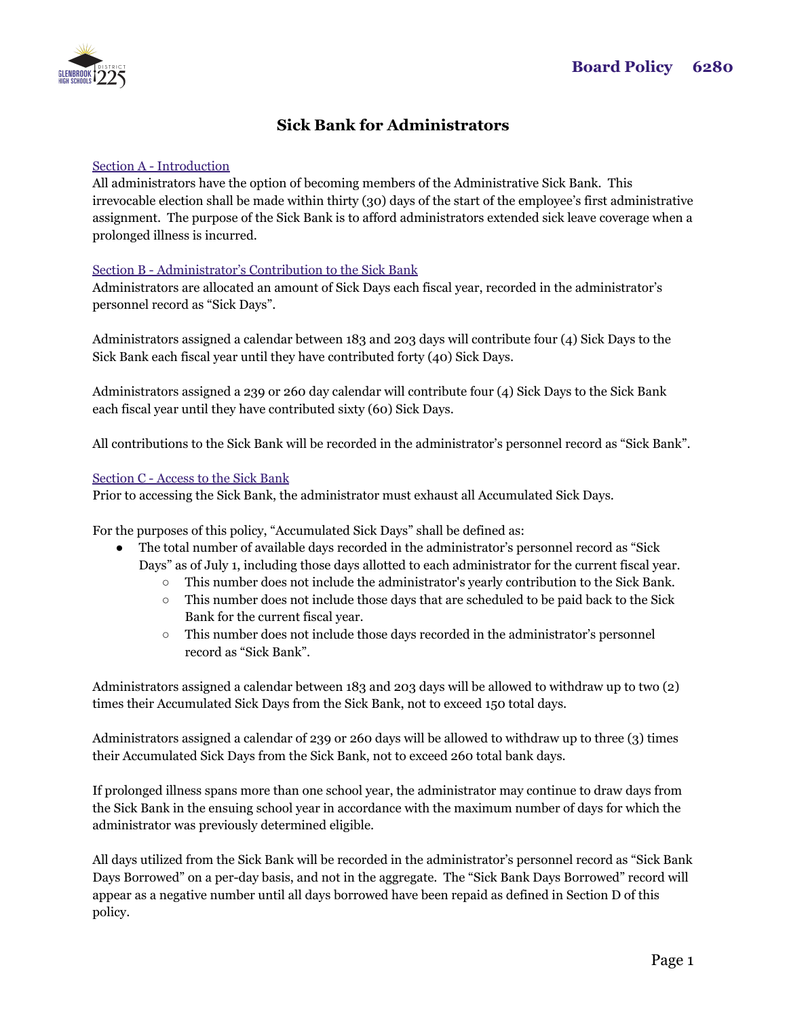

# **Sick Bank for Administrators**

### Section A - Introduction

All administrators have the option of becoming members of the Administrative Sick Bank. This irrevocable election shall be made within thirty (30) days of the start of the employee's first administrative assignment. The purpose of the Sick Bank is to afford administrators extended sick leave coverage when a prolonged illness is incurred.

#### Section B - Administrator's Contribution to the Sick Bank

Administrators are allocated an amount of Sick Days each fiscal year, recorded in the administrator's personnel record as "Sick Days".

Administrators assigned a calendar between 183 and 203 days will contribute four (4) Sick Days to the Sick Bank each fiscal year until they have contributed forty (40) Sick Days.

Administrators assigned a 239 or 260 day calendar will contribute four (4) Sick Days to the Sick Bank each fiscal year until they have contributed sixty (60) Sick Days.

All contributions to the Sick Bank will be recorded in the administrator's personnel record as "Sick Bank".

#### Section C - Access to the Sick Bank

Prior to accessing the Sick Bank, the administrator must exhaust all Accumulated Sick Days.

For the purposes of this policy, "Accumulated Sick Days" shall be defined as:

- The total number of available days recorded in the administrator's personnel record as "Sick" Days" as of July 1, including those days allotted to each administrator for the current fiscal year.
	- This number does not include the administrator's yearly contribution to the Sick Bank.
	- This number does not include those days that are scheduled to be paid back to the Sick Bank for the current fiscal year.
	- This number does not include those days recorded in the administrator's personnel record as "Sick Bank".

Administrators assigned a calendar between 183 and 203 days will be allowed to withdraw up to two (2) times their Accumulated Sick Days from the Sick Bank, not to exceed 150 total days.

Administrators assigned a calendar of 239 or 260 days will be allowed to withdraw up to three (3) times their Accumulated Sick Days from the Sick Bank, not to exceed 260 total bank days.

If prolonged illness spans more than one school year, the administrator may continue to draw days from the Sick Bank in the ensuing school year in accordance with the maximum number of days for which the administrator was previously determined eligible.

All days utilized from the Sick Bank will be recorded in the administrator's personnel record as "Sick Bank Days Borrowed" on a per-day basis, and not in the aggregate. The "Sick Bank Days Borrowed" record will appear as a negative number until all days borrowed have been repaid as defined in Section D of this policy.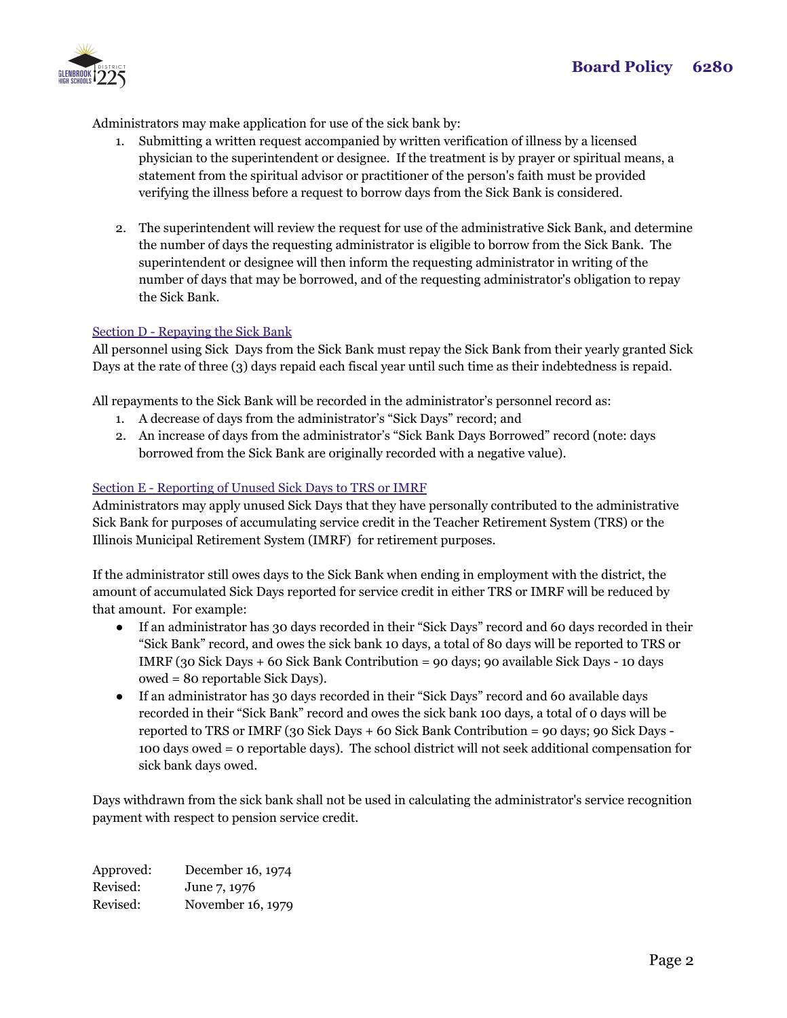

Administrators may make application for use of the sick bank by:

- 1. Submitting a written request accompanied by written verification of illness by a licensed physician to the superintendent or designee. If the treatment is by prayer or spiritual means, a statement from the spiritual advisor or practitioner of the person's faith must be provided verifying the illness before a request to borrow days from the Sick Bank is considered.
- 2. The superintendent will review the request for use of the administrative Sick Bank, and determine the number of days the requesting administrator is eligible to borrow from the Sick Bank. The superintendent or designee will then inform the requesting administrator in writing of the number of days that may be borrowed, and of the requesting administrator's obligation to repay the Sick Bank.

## Section D - Repaying the Sick Bank

All personnel using Sick Days from the Sick Bank must repay the Sick Bank from their yearly granted Sick Days at the rate of three (3) days repaid each fiscal year until such time as their indebtedness is repaid.

All repayments to the Sick Bank will be recorded in the administrator's personnel record as:

- 1. A decrease of days from the administrator's "Sick Days" record; and
- 2. An increase of days from the administrator's "Sick Bank Days Borrowed" record (note: days borrowed from the Sick Bank are originally recorded with a negative value).

## Section E - Reporting of Unused Sick Days to TRS or IMRF

Administrators may apply unused Sick Days that they have personally contributed to the administrative Sick Bank for purposes of accumulating service credit in the Teacher Retirement System (TRS) or the Illinois Municipal Retirement System (IMRF) for retirement purposes.

If the administrator still owes days to the Sick Bank when ending in employment with the district, the amount of accumulated Sick Days reported for service credit in either TRS or IMRF will be reduced by that amount. For example:

- If an administrator has 30 days recorded in their "Sick Days" record and 60 days recorded in their "Sick Bank" record, and owes the sick bank 10 days, a total of 80 days will be reported to TRS or IMRF (30 Sick Days + 60 Sick Bank Contribution = 90 days; 90 available Sick Days - 10 days owed = 80 reportable Sick Days).
- If an administrator has 30 days recorded in their "Sick Days" record and 60 available days recorded in their "Sick Bank" record and owes the sick bank 100 days, a total of 0 days will be reported to TRS or IMRF (30 Sick Days + 60 Sick Bank Contribution = 90 days; 90 Sick Days - 100 days owed = 0 reportable days). The school district will not seek additional compensation for sick bank days owed.

Days withdrawn from the sick bank shall not be used in calculating the administrator's service recognition payment with respect to pension service credit.

Approved: December 16, 1974 Revised: June 7, 1976 Revised: November 16, 1979